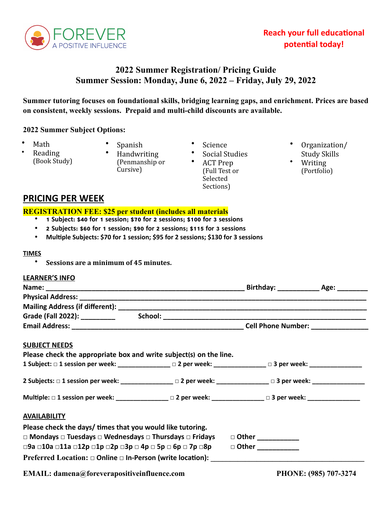

# **Reach your full educational potential today!**

# **2022 Summer Registration/ Pricing Guide Summer Session: Monday, June 6, 2022 – Friday, July 29, 2022**

**Summer tutoring focuses on foundational skills, bridging learning gaps, and enrichment. Prices are based on consistent, weekly sessions. Prepaid and multi-child discounts are available.**

## **2022 Summer Subject Options:**

- Math
- Reading (Book Study)
- Spanish • Handwriting (Penmanship or Cursive)
- **Science**
- Social Studies
	- ACT Prep (Full Test or Selected Sections)
- Organization/ Study Skills
- Writing (Portfolio)

# **PRICING PER WEEK**

#### **REGISTRATION FEE: \$25 per student (includes all materials**

- **1 Subject: \$40 for 1 session; \$70 for 2 sessions; \$100 for 3 sessions**
- **2 Subjects: \$60 for 1 session; \$90 for 2 sessions; \$115 for 3 sessions**
- **Multiple Subjects: \$70 for 1 session; \$95 for 2 sessions; \$130 for 3 sessions**

#### **TIMES**

• Sessions are a minimum of 45 minutes.

### **LEARNER'S INFO**

| $\Box$ Other                                               |                                                                                                                                                                                                                                                                                                                                                                                                                                                                                                                                                                                                                     |
|------------------------------------------------------------|---------------------------------------------------------------------------------------------------------------------------------------------------------------------------------------------------------------------------------------------------------------------------------------------------------------------------------------------------------------------------------------------------------------------------------------------------------------------------------------------------------------------------------------------------------------------------------------------------------------------|
|                                                            |                                                                                                                                                                                                                                                                                                                                                                                                                                                                                                                                                                                                                     |
| Please check the days/ times that you would like tutoring. | Please check the appropriate box and write subject(s) on the line.<br>1 Subject: □ 1 session per week: ______________ □ 2 per week: ____________ □ 3 per week: ________________<br>2 Subjects: □ 1 session per week: _______________ □ 2 per week: _____________ □ 3 per week: __________________<br>Multiple: □ 1 session per week: ______________ □ 2 per week: _____________ □ 3 per week: _______________<br>□ Mondays □ Tuesdays □ Wednesdays □ Thursdays □ Fridays □ Other __________<br>□9a □10a □11a □12p □1p □2p □3p □ 4p □ 5p □ 6p □ 7p □8p<br>Preferred Location: □ Online □ In-Person (write location): |

**EMAIL: damena@foreverapositiveinfluence.com PHONE: (985) 707-3274**